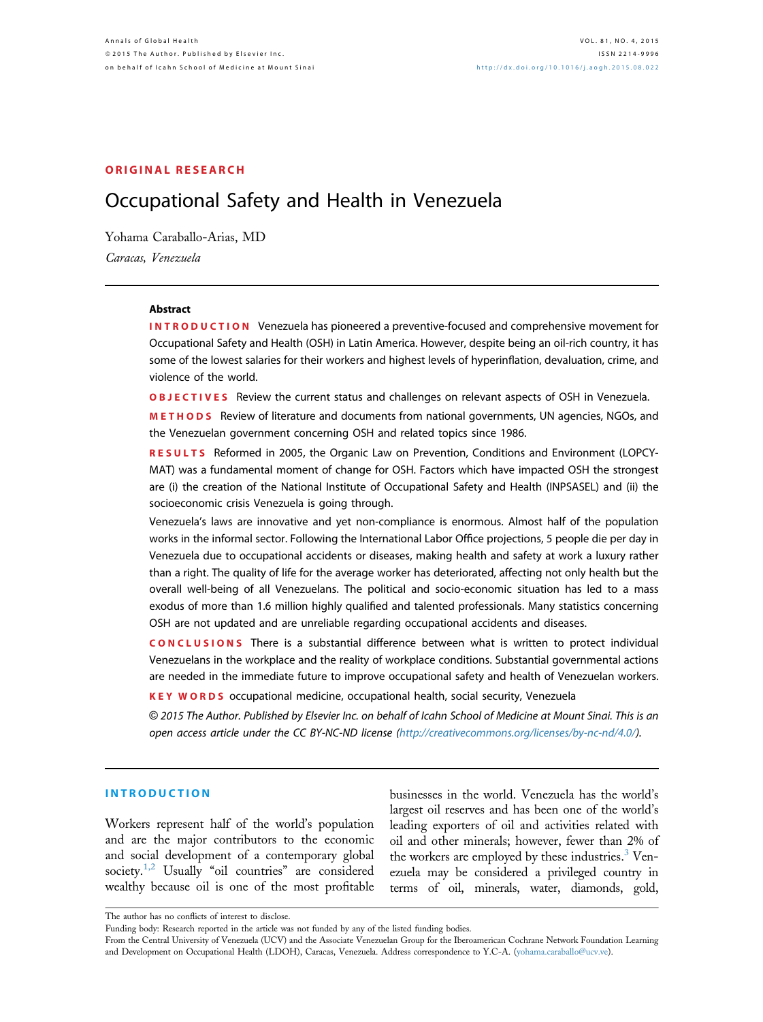# ORIGINAL RESEARCH

# Occupational Safety and Health in Venezuela

Yohama Caraballo-Arias, MD Caracas, Venezuela

#### Abstract

INTRODUCTION Venezuela has pioneered a preventive-focused and comprehensive movement for Occupational Safety and Health (OSH) in Latin America. However, despite being an oil-rich country, it has some of the lowest salaries for their workers and highest levels of hyperinflation, devaluation, crime, and violence of the world.

**OBJECTIVES** Review the current status and challenges on relevant aspects of OSH in Venezuela.

METHODS Review of literature and documents from national governments, UN agencies, NGOs, and the Venezuelan government concerning OSH and related topics since 1986.

RESULTS Reformed in 2005, the Organic Law on Prevention, Conditions and Environment (LOPCY-MAT) was a fundamental moment of change for OSH. Factors which have impacted OSH the strongest are (i) the creation of the National Institute of Occupational Safety and Health (INPSASEL) and (ii) the socioeconomic crisis Venezuela is going through.

Venezuela's laws are innovative and yet non-compliance is enormous. Almost half of the population works in the informal sector. Following the International Labor Office projections, 5 people die per day in Venezuela due to occupational accidents or diseases, making health and safety at work a luxury rather than a right. The quality of life for the average worker has deteriorated, affecting not only health but the overall well-being of all Venezuelans. The political and socio-economic situation has led to a mass exodus of more than 1.6 million highly qualified and talented professionals. Many statistics concerning OSH are not updated and are unreliable regarding occupational accidents and diseases.

CONCLUSIONS There is a substantial difference between what is written to protect individual Venezuelans in the workplace and the reality of workplace conditions. Substantial governmental actions are needed in the immediate future to improve occupational safety and health of Venezuelan workers.

KEY WORDS occupational medicine, occupational health, social security, Venezuela

© 2015 The Author. Published by Elsevier Inc. on behalf of Icahn School of Medicine at Mount Sinai. This is an open access article under the CC BY-NC-ND license [\(http://creativecommons.org/licenses/by-nc-nd/4.0/\)](http://creativecommons.org/licenses/by-nc-nd/4.�0/).

## INTRODUCTION

Workers represent half of the world's population and are the major contributors to the economic and social development of a contemporary global society.<sup>[1,2](#page-7-0)</sup> Usually "oil countries" are considered wealthy because oil is one of the most profitable businesses in the world. Venezuela has the world's largest oil reserves and has been one of the world's leading exporters of oil and activities related with oil and other minerals; however, fewer than 2% of the workers are employed by these industries.<sup>[3](#page-7-0)</sup> Venezuela may be considered a privileged country in terms of oil, minerals, water, diamonds, gold,

Funding body: Research reported in the article was not funded by any of the listed funding bodies.

The author has no conflicts of interest to disclose.

From the Central University of Venezuela (UCV) and the Associate Venezuelan Group for the Iberoamerican Cochrane Network Foundation Learning and Development on Occupational Health (LDOH), Caracas, Venezuela. Address correspondence to Y.C-A. [\(yohama.caraballo@ucv.ve](mailto:yohama.caraballo@ucv.ve)).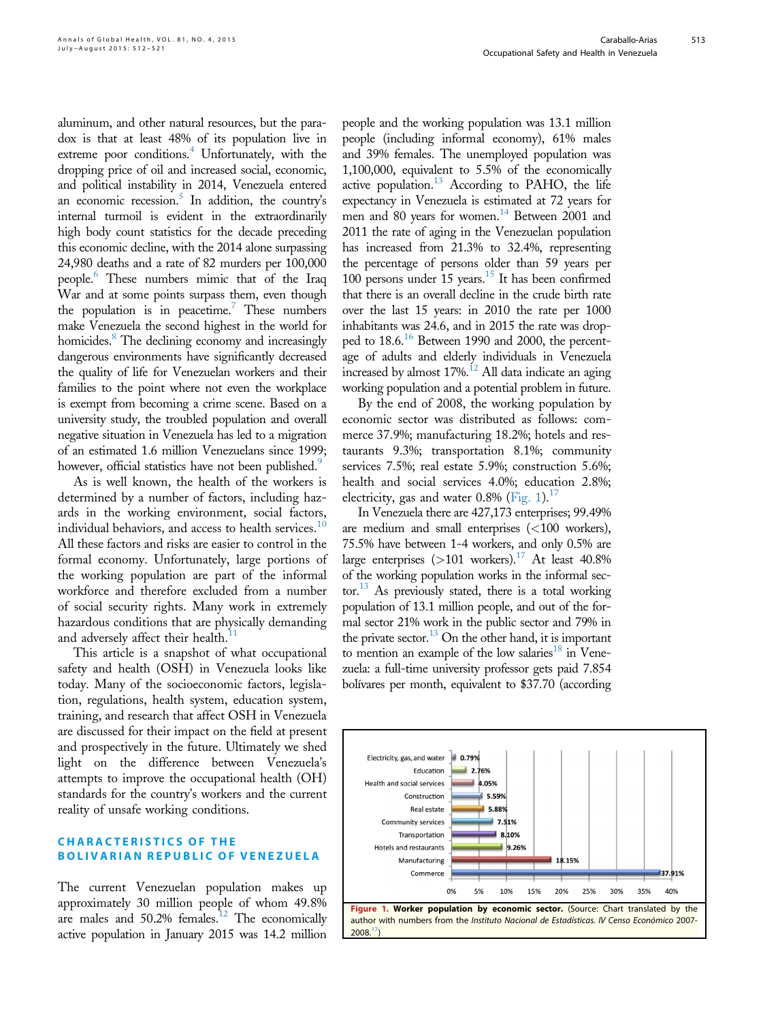aluminum, and other natural resources, but the paradox is that at least 48% of its population live in extreme poor conditions.<sup>4</sup> Unfortunately, with the dropping price of oil and increased social, economic, and political instability in 2014, Venezuela entered an economic recession.<sup>5</sup> In addition, the country's internal turmoil is evident in the extraordinarily high body count statistics for the decade preceding this economic decline, with the 2014 alone surpassing 24,980 deaths and a rate of 82 murders per 100,000 people.[6](#page-7-0) These numbers mimic that of the Iraq War and at some points surpass them, even though the population is in peacetime.<sup> $\tau$ </sup> These numbers make Venezuela the second highest in the world for homicides.<sup>[8](#page-7-0)</sup> The declining economy and increasingly dangerous environments have significantly decreased the quality of life for Venezuelan workers and their families to the point where not even the workplace is exempt from becoming a crime scene. Based on a university study, the troubled population and overall negative situation in Venezuela has led to a migration of an estimated 1.6 million Venezuelans since 1999; however, official statistics have not been published.<sup>9</sup>

As is well known, the health of the workers is determined by a number of factors, including hazards in the working environment, social factors, individual behaviors, and access to health services.<sup>[10](#page-7-0)</sup> All these factors and risks are easier to control in the formal economy. Unfortunately, large portions of the working population are part of the informal workforce and therefore excluded from a number of social security rights. Many work in extremely hazardous conditions that are physically demanding and adversely affect their health.<sup>[11](#page-8-0)</sup>

This article is a snapshot of what occupational safety and health (OSH) in Venezuela looks like today. Many of the socioeconomic factors, legislation, regulations, health system, education system, training, and research that affect OSH in Venezuela are discussed for their impact on the field at present and prospectively in the future. Ultimately we shed light on the difference between Venezuela's attempts to improve the occupational health (OH) standards for the country's workers and the current reality of unsafe working conditions.

# CHARACTERISTICS OF THE BOLIVARIAN REPUBLIC OF VENEZUELA

The current Venezuelan population makes up approximately 30 million people of whom 49.8% are males and  $50.2\%$  females.<sup>[12](#page-8-0)</sup> The economically active population in January 2015 was 14.2 million

people and the working population was 13.1 million people (including informal economy), 61% males and 39% females. The unemployed population was 1,100,000, equivalent to 5.5% of the economically active population. $^{13}$  $^{13}$  $^{13}$  According to PAHO, the life expectancy in Venezuela is estimated at 72 years for men and 80 years for women.<sup>14</sup> Between 2001 and 2011 the rate of aging in the Venezuelan population has increased from 21.3% to 32.4%, representing the percentage of persons older than 59 years per 100 persons under  $15$  years.<sup>15</sup> It has been confirmed that there is an overall decline in the crude birth rate over the last 15 years: in 2010 the rate per 1000 inhabitants was 24.6, and in 2015 the rate was drop-ped to 18.6.<sup>[16](#page-8-0)</sup> Between 1990 and 2000, the percentage of adults and elderly individuals in Venezuela increased by almost  $17\%$ .<sup>[12](#page-8-0)</sup> All data indicate an aging working population and a potential problem in future.

By the end of 2008, the working population by economic sector was distributed as follows: commerce 37.9%; manufacturing 18.2%; hotels and restaurants 9.3%; transportation 8.1%; community services 7.5%; real estate 5.9%; construction 5.6%; health and social services 4.0%; education 2.8%; electricity, gas and water 0.8% (Fig. 1).<sup>17</sup>

In Venezuela there are 427,173 enterprises; 99.49% are medium and small enterprises (<100 workers), 75.5% have between 1-4 workers, and only 0.5% are large enterprises  $(>101$  workers).<sup>[17](#page-8-0)</sup> At least 40.8% of the working population works in the informal sec-tor.<sup>[13](#page-8-0)</sup> As previously stated, there is a total working population of 13.1 million people, and out of the formal sector 21% work in the public sector and 79% in the private sector.<sup>13</sup> On the other hand, it is important to mention an example of the low salaries<sup>18</sup> in Venezuela: a full-time university professor gets paid 7.854 bolívares per month, equivalent to \$37.70 (according

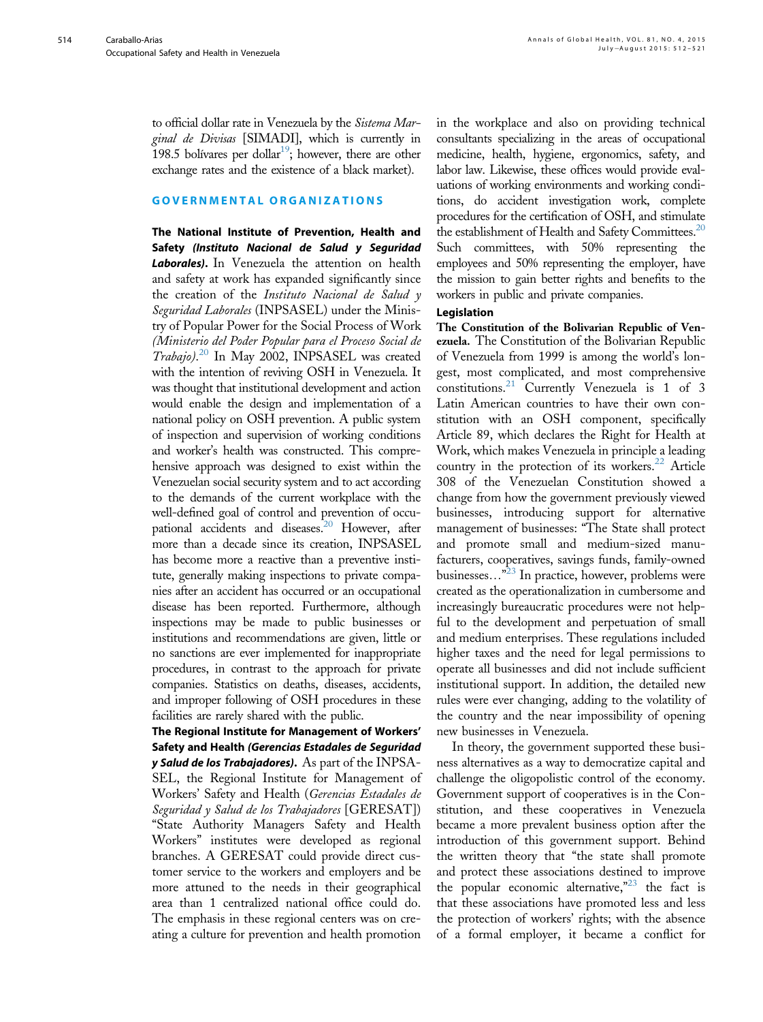to official dollar rate in Venezuela by the Sistema Marginal de Divisas [SIMADI], which is currently in 198.5 bolívares per dollar $19$ ; however, there are other exchange rates and the existence of a black market).

#### GOVERNMENTAL ORGANIZATIONS

The National Institute of Prevention, Health and Safety (Instituto Nacional de Salud y Seguridad Laborales). In Venezuela the attention on health and safety at work has expanded significantly since the creation of the Instituto Nacional de Salud y Seguridad Laborales (INPSASEL) under the Ministry of Popular Power for the Social Process of Work (Ministerio del Poder Popular para el Proceso Social de Trabajo).<sup>[20](#page-8-0)</sup> In May 2002, INPSASEL was created with the intention of reviving OSH in Venezuela. It was thought that institutional development and action would enable the design and implementation of a national policy on OSH prevention. A public system of inspection and supervision of working conditions and worker's health was constructed. This comprehensive approach was designed to exist within the Venezuelan social security system and to act according to the demands of the current workplace with the well-defined goal of control and prevention of occupational accidents and diseases.<sup>20</sup> However, after more than a decade since its creation, INPSASEL has become more a reactive than a preventive institute, generally making inspections to private companies after an accident has occurred or an occupational disease has been reported. Furthermore, although inspections may be made to public businesses or institutions and recommendations are given, little or no sanctions are ever implemented for inappropriate procedures, in contrast to the approach for private companies. Statistics on deaths, diseases, accidents, and improper following of OSH procedures in these facilities are rarely shared with the public.

The Regional Institute for Management of Workers' Safety and Health (Gerencias Estadales de Seguridad y Salud de los Trabajadores). As part of the INPSA-SEL, the Regional Institute for Management of Workers' Safety and Health (Gerencias Estadales de Seguridad y Salud de los Trabajadores [GERESAT]) "State Authority Managers Safety and Health Workers" institutes were developed as regional branches. A GERESAT could provide direct customer service to the workers and employers and be more attuned to the needs in their geographical area than 1 centralized national office could do. The emphasis in these regional centers was on creating a culture for prevention and health promotion

in the workplace and also on providing technical consultants specializing in the areas of occupational medicine, health, hygiene, ergonomics, safety, and labor law. Likewise, these offices would provide evaluations of working environments and working conditions, do accident investigation work, complete procedures for the certification of OSH, and stimulate the establishment of Health and Safety Committees.<sup>[20](#page-8-0)</sup> Such committees, with 50% representing the employees and 50% representing the employer, have the mission to gain better rights and benefits to the workers in public and private companies.

## Legislation

The Constitution of the Bolivarian Republic of Venezuela. The Constitution of the Bolivarian Republic of Venezuela from 1999 is among the world's longest, most complicated, and most comprehensive constitutions.[21](#page-8-0) Currently Venezuela is 1 of 3 Latin American countries to have their own constitution with an OSH component, specifically Article 89, which declares the Right for Health at Work, which makes Venezuela in principle a leading country in the protection of its workers.<sup>22</sup> Article 308 of the Venezuelan Constitution showed a change from how the government previously viewed businesses, introducing support for alternative management of businesses: "The State shall protect and promote small and medium-sized manufacturers, cooperatives, savings funds, family-owned businesses..."<sup>[23](#page-8-0)</sup> In practice, however, problems were created as the operationalization in cumbersome and increasingly bureaucratic procedures were not helpful to the development and perpetuation of small and medium enterprises. These regulations included higher taxes and the need for legal permissions to operate all businesses and did not include sufficient institutional support. In addition, the detailed new rules were ever changing, adding to the volatility of the country and the near impossibility of opening new businesses in Venezuela.

In theory, the government supported these business alternatives as a way to democratize capital and challenge the oligopolistic control of the economy. Government support of cooperatives is in the Constitution, and these cooperatives in Venezuela became a more prevalent business option after the introduction of this government support. Behind the written theory that "the state shall promote and protect these associations destined to improve the popular economic alternative,"<sup>[23](#page-8-0)</sup> the fact is that these associations have promoted less and less the protection of workers' rights; with the absence of a formal employer, it became a conflict for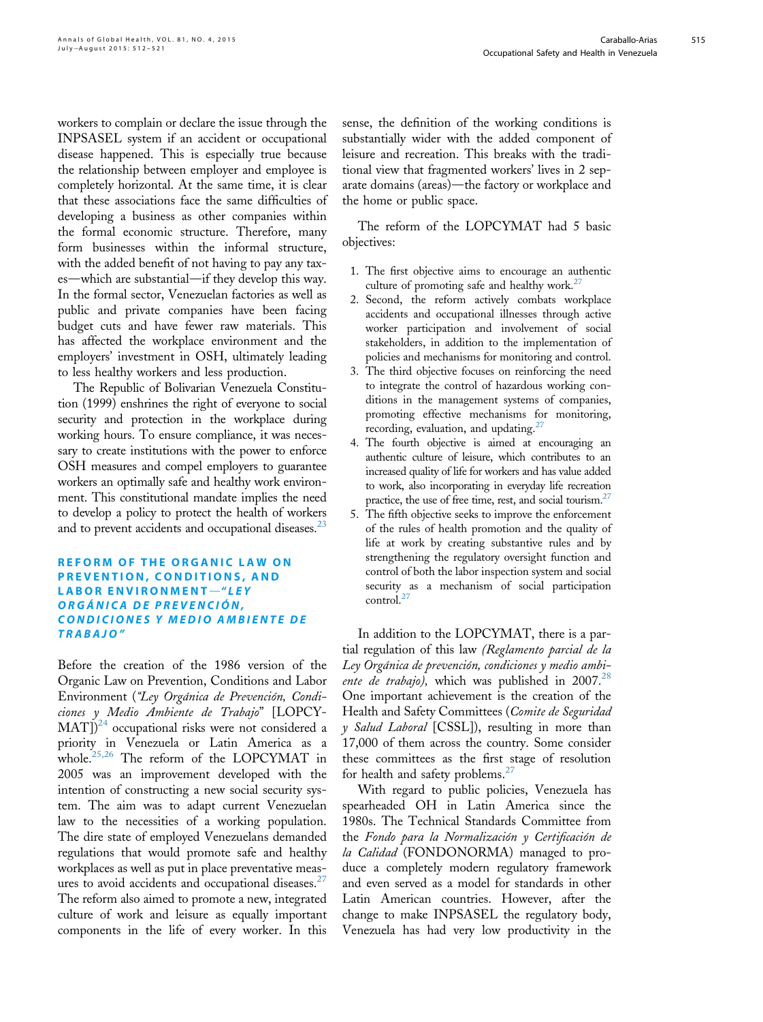workers to complain or declare the issue through the INPSASEL system if an accident or occupational disease happened. This is especially true because the relationship between employer and employee is completely horizontal. At the same time, it is clear that these associations face the same difficulties of developing a business as other companies within the formal economic structure. Therefore, many form businesses within the informal structure, with the added benefit of not having to pay any taxes—which are substantial—if they develop this way. In the formal sector, Venezuelan factories as well as public and private companies have been facing budget cuts and have fewer raw materials. This has affected the workplace environment and the employers' investment in OSH, ultimately leading to less healthy workers and less production.

The Republic of Bolivarian Venezuela Constitution (1999) enshrines the right of everyone to social security and protection in the workplace during working hours. To ensure compliance, it was necessary to create institutions with the power to enforce OSH measures and compel employers to guarantee workers an optimally safe and healthy work environment. This constitutional mandate implies the need to develop a policy to protect the health of workers and to prevent accidents and occupational diseases.<sup>23</sup>

## REFORM OF THE ORGANIC LAW ON PREVENTION, CONDITIONS, AND LABOR ENVIRONMENT-"LEY ORGÁNICA DE PREVENCIÓN, CONDICIONES Y MEDIO AMBIENTE DE TRABAJO "

Before the creation of the 1986 version of the Organic Law on Prevention, Conditions and Labor Environment ("Ley Orgánica de Prevención, Condiciones y Medio Ambiente de Trabajo" [LOPCY- $\text{MAT}$ )<sup>[24](#page-8-0)</sup> occupational risks were not considered a priority in Venezuela or Latin America as a whole. $25,26$  The reform of the LOPCYMAT in 2005 was an improvement developed with the intention of constructing a new social security system. The aim was to adapt current Venezuelan law to the necessities of a working population. The dire state of employed Venezuelans demanded regulations that would promote safe and healthy workplaces as well as put in place preventative meas-ures to avoid accidents and occupational diseases.<sup>[27](#page-8-0)</sup> The reform also aimed to promote a new, integrated culture of work and leisure as equally important components in the life of every worker. In this

sense, the definition of the working conditions is substantially wider with the added component of leisure and recreation. This breaks with the traditional view that fragmented workers' lives in 2 separate domains (areas)—the factory or workplace and the home or public space.

The reform of the LOPCYMAT had 5 basic objectives:

- 1. The first objective aims to encourage an authentic culture of promoting safe and healthy work.<sup>[27](#page-8-0)</sup>
- 2. Second, the reform actively combats workplace accidents and occupational illnesses through active worker participation and involvement of social stakeholders, in addition to the implementation of policies and mechanisms for monitoring and control.
- 3. The third objective focuses on reinforcing the need to integrate the control of hazardous working conditions in the management systems of companies, promoting effective mechanisms for monitoring, recording, evaluation, and updating.<sup>[27](#page-8-0)</sup>
- 4. The fourth objective is aimed at encouraging an authentic culture of leisure, which contributes to an increased quality of life for workers and has value added to work, also incorporating in everyday life recreation practice, the use of free time, rest, and social tourism. $27$
- 5. The fifth objective seeks to improve the enforcement of the rules of health promotion and the quality of life at work by creating substantive rules and by strengthening the regulatory oversight function and control of both the labor inspection system and social security as a mechanism of social participation control. $^{2}$

In addition to the LOPCYMAT, there is a partial regulation of this law (Reglamento parcial de la Ley Orgánica de prevención, condiciones y medio ambi*ente de trabajo)*, which was published in 2007.<sup>[28](#page-8-0)</sup> One important achievement is the creation of the Health and Safety Committees (Comite de Seguridad y Salud Laboral [CSSL]), resulting in more than 17,000 of them across the country. Some consider these committees as the first stage of resolution for health and safety problems.<sup>[27](#page-8-0)</sup>

With regard to public policies, Venezuela has spearheaded OH in Latin America since the 1980s. The Technical Standards Committee from the Fondo para la Normalización y Certificación de la Calidad (FONDONORMA) managed to produce a completely modern regulatory framework and even served as a model for standards in other Latin American countries. However, after the change to make INPSASEL the regulatory body, Venezuela has had very low productivity in the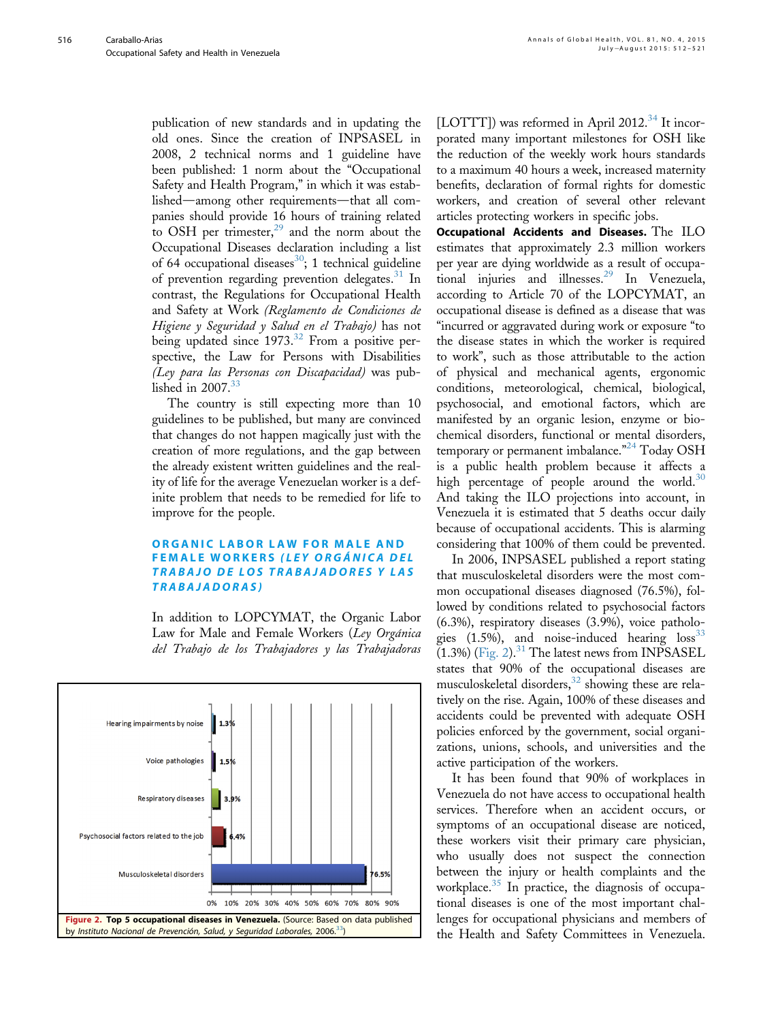publication of new standards and in updating the old ones. Since the creation of INPSASEL in 2008, 2 technical norms and 1 guideline have been published: 1 norm about the "Occupational Safety and Health Program," in which it was established—among other requirements—that all companies should provide 16 hours of training related to OSH per trimester,  $29$  and the norm about the Occupational Diseases declaration including a list of 64 occupational diseases<sup>[30](#page-8-0)</sup>; 1 technical guideline of prevention regarding prevention delegates.<sup>[31](#page-8-0)</sup> In contrast, the Regulations for Occupational Health and Safety at Work (Reglamento de Condiciones de Higiene y Seguridad y Salud en el Trabajo) has not being updated since 1973.<sup>[32](#page-8-0)</sup> From a positive perspective, the Law for Persons with Disabilities (Ley para las Personas con Discapacidad) was published in  $2007.<sup>33</sup>$  $2007.<sup>33</sup>$  $2007.<sup>33</sup>$ 

The country is still expecting more than 10 guidelines to be published, but many are convinced that changes do not happen magically just with the creation of more regulations, and the gap between the already existent written guidelines and the reality of life for the average Venezuelan worker is a definite problem that needs to be remedied for life to improve for the people.

# ORGANIC LABOR LAW FOR MALE AND FEMALE WORKERS (LEY ORGÁNICA DEL TRABAJO DE LOS TRABAJADORES Y LAS TRABAJADORAS)

In addition to LOPCYMAT, the Organic Labor Law for Male and Female Workers (Ley Orgánica del Trabajo de los Trabajadores y las Trabajadoras



[LOTTT]) was reformed in April 2012.<sup>[34](#page-8-0)</sup> It incorporated many important milestones for OSH like the reduction of the weekly work hours standards to a maximum 40 hours a week, increased maternity benefits, declaration of formal rights for domestic workers, and creation of several other relevant articles protecting workers in specific jobs.

Occupational Accidents and Diseases. The ILO estimates that approximately 2.3 million workers per year are dying worldwide as a result of occupa-tional injuries and illnesses.<sup>[29](#page-8-0)</sup> In Venezuela, according to Article 70 of the LOPCYMAT, an occupational disease is defined as a disease that was "incurred or aggravated during work or exposure "to the disease states in which the worker is required to work", such as those attributable to the action of physical and mechanical agents, ergonomic conditions, meteorological, chemical, biological, psychosocial, and emotional factors, which are manifested by an organic lesion, enzyme or biochemical disorders, functional or mental disorders, temporary or permanent imbalance."<sup>[24](#page-8-0)</sup> Today OSH is a public health problem because it affects a high percentage of people around the world.<sup>[30](#page-8-0)</sup> And taking the ILO projections into account, in Venezuela it is estimated that 5 deaths occur daily because of occupational accidents. This is alarming considering that 100% of them could be prevented.

In 2006, INPSASEL published a report stating that musculoskeletal disorders were the most common occupational diseases diagnosed (76.5%), followed by conditions related to psychosocial factors (6.3%), respiratory diseases (3.9%), voice pathologies  $(1.5\%)$ , and noise-induced hearing  $\log^{33}$  $\log^{33}$  $\log^{33}$  $(1.3\%)$  (Fig. 2).<sup>[31](#page-8-0)</sup> The latest news from INPSASEL states that 90% of the occupational diseases are musculoskeletal disorders, $32$  showing these are relatively on the rise. Again, 100% of these diseases and accidents could be prevented with adequate OSH policies enforced by the government, social organizations, unions, schools, and universities and the active participation of the workers.

It has been found that 90% of workplaces in Venezuela do not have access to occupational health services. Therefore when an accident occurs, or symptoms of an occupational disease are noticed, these workers visit their primary care physician, who usually does not suspect the connection between the injury or health complaints and the workplace. $35$  In practice, the diagnosis of occupational diseases is one of the most important challenges for occupational physicians and members of the Health and Safety Committees in Venezuela.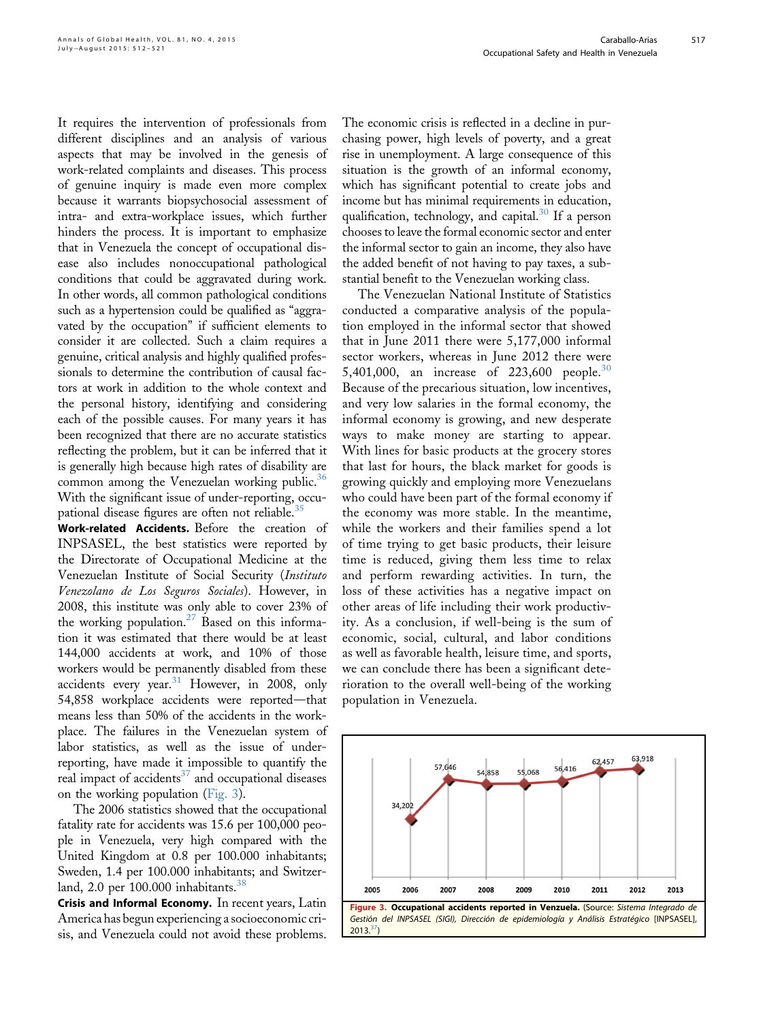It requires the intervention of professionals from different disciplines and an analysis of various aspects that may be involved in the genesis of work-related complaints and diseases. This process of genuine inquiry is made even more complex because it warrants biopsychosocial assessment of intra- and extra-workplace issues, which further hinders the process. It is important to emphasize that in Venezuela the concept of occupational disease also includes nonoccupational pathological conditions that could be aggravated during work. In other words, all common pathological conditions such as a hypertension could be qualified as "aggravated by the occupation" if sufficient elements to consider it are collected. Such a claim requires a genuine, critical analysis and highly qualified professionals to determine the contribution of causal factors at work in addition to the whole context and the personal history, identifying and considering each of the possible causes. For many years it has been recognized that there are no accurate statistics reflecting the problem, but it can be inferred that it is generally high because high rates of disability are common among the Venezuelan working public. $36$ With the significant issue of under-reporting, occu-pational disease figures are often not reliable.<sup>[35](#page-8-0)</sup>

Work-related Accidents. Before the creation of INPSASEL, the best statistics were reported by the Directorate of Occupational Medicine at the Venezuelan Institute of Social Security (Instituto Venezolano de Los Seguros Sociales). However, in 2008, this institute was only able to cover 23% of the working population.<sup>[27](#page-8-0)</sup> Based on this information it was estimated that there would be at least 144,000 accidents at work, and 10% of those workers would be permanently disabled from these accidents every year.<sup>[31](#page-8-0)</sup> However, in 2008, only 54,858 workplace accidents were reported-that means less than 50% of the accidents in the workplace. The failures in the Venezuelan system of labor statistics, as well as the issue of underreporting, have made it impossible to quantify the real impact of accidents $37$  and occupational diseases on the working population (Fig. 3).

The 2006 statistics showed that the occupational fatality rate for accidents was 15.6 per 100,000 people in Venezuela, very high compared with the United Kingdom at 0.8 per 100.000 inhabitants; Sweden, 1.4 per 100.000 inhabitants; and Switzer-land, 2.0 per 100.000 inhabitants.<sup>[38](#page-8-0)</sup>

Crisis and Informal Economy. In recent years, Latin America has begun experiencing a socioeconomic crisis, and Venezuela could not avoid these problems.

The economic crisis is reflected in a decline in purchasing power, high levels of poverty, and a great rise in unemployment. A large consequence of this situation is the growth of an informal economy, which has significant potential to create jobs and income but has minimal requirements in education, qualification, technology, and capital.<sup>[30](#page-8-0)</sup> If a person chooses to leave the formal economic sector and enter the informal sector to gain an income, they also have the added benefit of not having to pay taxes, a substantial benefit to the Venezuelan working class.

The Venezuelan National Institute of Statistics conducted a comparative analysis of the population employed in the informal sector that showed that in June 2011 there were 5,177,000 informal sector workers, whereas in June 2012 there were 5,401,000, an increase of 223,600 people.<sup>[30](#page-8-0)</sup> Because of the precarious situation, low incentives, and very low salaries in the formal economy, the informal economy is growing, and new desperate ways to make money are starting to appear. With lines for basic products at the grocery stores that last for hours, the black market for goods is growing quickly and employing more Venezuelans who could have been part of the formal economy if the economy was more stable. In the meantime, while the workers and their families spend a lot of time trying to get basic products, their leisure time is reduced, giving them less time to relax and perform rewarding activities. In turn, the loss of these activities has a negative impact on other areas of life including their work productivity. As a conclusion, if well-being is the sum of economic, social, cultural, and labor conditions as well as favorable health, leisure time, and sports, we can conclude there has been a significant deterioration to the overall well-being of the working population in Venezuela.

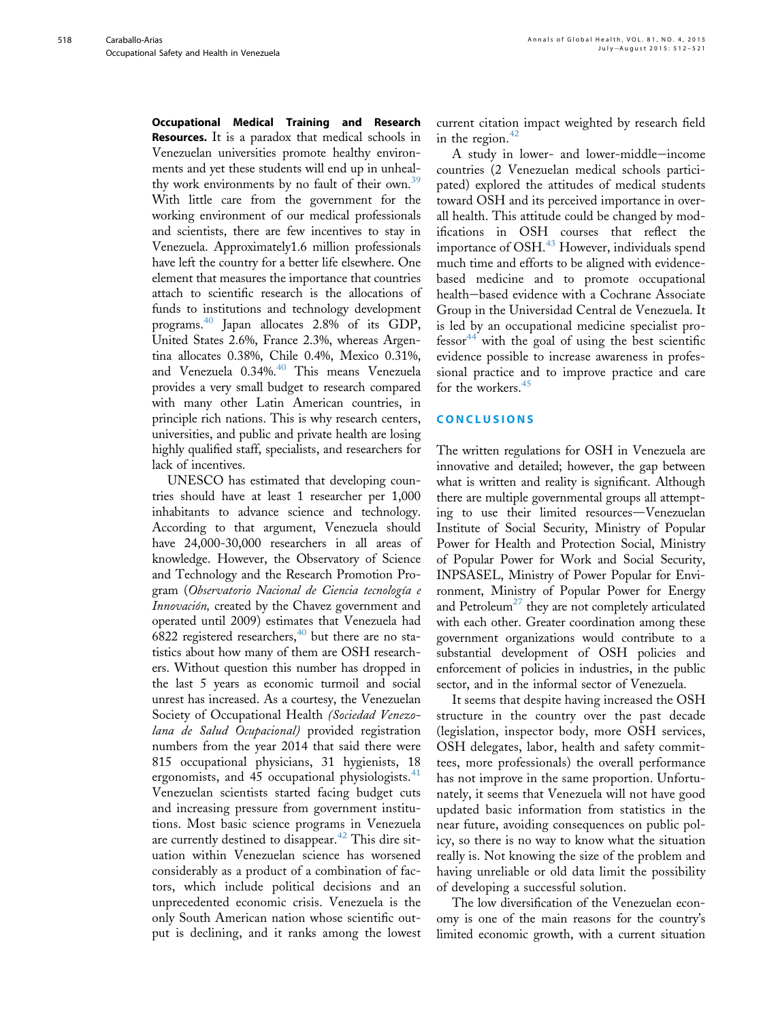Occupational Medical Training and Research Resources. It is a paradox that medical schools in Venezuelan universities promote healthy environments and yet these students will end up in unheal-thy work environments by no fault of their own.<sup>[39](#page-8-0)</sup> With little care from the government for the working environment of our medical professionals and scientists, there are few incentives to stay in Venezuela. Approximately1.6 million professionals have left the country for a better life elsewhere. One element that measures the importance that countries attach to scientific research is the allocations of funds to institutions and technology development programs.<sup>[40](#page-8-0)</sup> Japan allocates 2.8% of its GDP, United States 2.6%, France 2.3%, whereas Argentina allocates 0.38%, Chile 0.4%, Mexico 0.31%, and Venezuela 0.34%.<sup>[40](#page-8-0)</sup> This means Venezuela provides a very small budget to research compared with many other Latin American countries, in principle rich nations. This is why research centers, universities, and public and private health are losing highly qualified staff, specialists, and researchers for lack of incentives.

UNESCO has estimated that developing countries should have at least 1 researcher per 1,000 inhabitants to advance science and technology. According to that argument, Venezuela should have 24,000-30,000 researchers in all areas of knowledge. However, the Observatory of Science and Technology and the Research Promotion Program (Observatorio Nacional de Ciencia tecnología e Innovación, created by the Chavez government and operated until 2009) estimates that Venezuela had  $6822$  registered researchers,<sup>[40](#page-8-0)</sup> but there are no statistics about how many of them are OSH researchers. Without question this number has dropped in the last 5 years as economic turmoil and social unrest has increased. As a courtesy, the Venezuelan Society of Occupational Health (Sociedad Venezolana de Salud Ocupacional) provided registration numbers from the year 2014 that said there were 815 occupational physicians, 31 hygienists, 18 ergonomists, and 45 occupational physiologists. $41$ Venezuelan scientists started facing budget cuts and increasing pressure from government institutions. Most basic science programs in Venezuela are currently destined to disappear.<sup>[42](#page-9-0)</sup> This dire situation within Venezuelan science has worsened considerably as a product of a combination of factors, which include political decisions and an unprecedented economic crisis. Venezuela is the only South American nation whose scientific output is declining, and it ranks among the lowest

current citation impact weighted by research field in the region. $42$ 

A study in lower- and lower-middle-income countries (2 Venezuelan medical schools participated) explored the attitudes of medical students toward OSH and its perceived importance in overall health. This attitude could be changed by modifications in OSH courses that reflect the importance of OSH.<sup>[43](#page-9-0)</sup> However, individuals spend much time and efforts to be aligned with evidencebased medicine and to promote occupational health-based evidence with a Cochrane Associate Group in the Universidad Central de Venezuela. It is led by an occupational medicine specialist pro- $fessor<sup>44</sup>$  $fessor<sup>44</sup>$  $fessor<sup>44</sup>$  with the goal of using the best scientific evidence possible to increase awareness in professional practice and to improve practice and care for the workers.<sup>[45](#page-9-0)</sup>

## **CONCLUSIONS**

The written regulations for OSH in Venezuela are innovative and detailed; however, the gap between what is written and reality is significant. Although there are multiple governmental groups all attempting to use their limited resources-Venezuelan Institute of Social Security, Ministry of Popular Power for Health and Protection Social, Ministry of Popular Power for Work and Social Security, INPSASEL, Ministry of Power Popular for Environment, Ministry of Popular Power for Energy and Petroleum<sup>[27](#page-8-0)</sup> they are not completely articulated with each other. Greater coordination among these government organizations would contribute to a substantial development of OSH policies and enforcement of policies in industries, in the public sector, and in the informal sector of Venezuela.

It seems that despite having increased the OSH structure in the country over the past decade (legislation, inspector body, more OSH services, OSH delegates, labor, health and safety committees, more professionals) the overall performance has not improve in the same proportion. Unfortunately, it seems that Venezuela will not have good updated basic information from statistics in the near future, avoiding consequences on public policy, so there is no way to know what the situation really is. Not knowing the size of the problem and having unreliable or old data limit the possibility of developing a successful solution.

The low diversification of the Venezuelan economy is one of the main reasons for the country's limited economic growth, with a current situation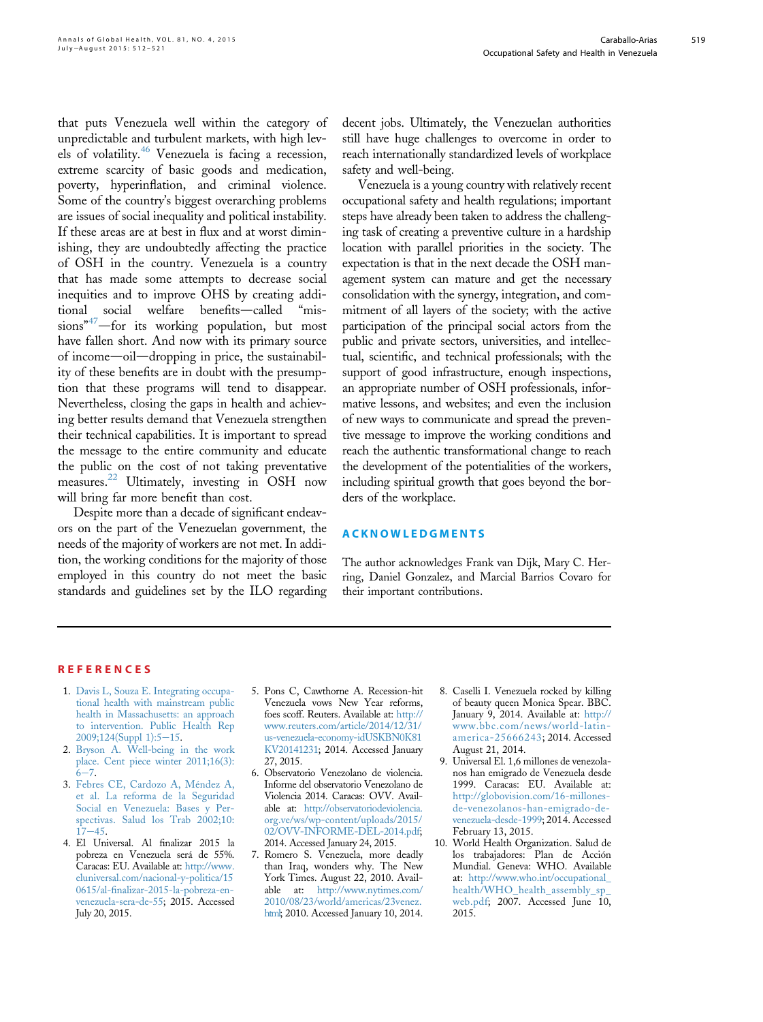<span id="page-7-0"></span>that puts Venezuela well within the category of unpredictable and turbulent markets, with high levels of volatility.[46](#page-9-0) Venezuela is facing a recession, extreme scarcity of basic goods and medication, poverty, hyperinflation, and criminal violence. Some of the country's biggest overarching problems are issues of social inequality and political instability. If these areas are at best in flux and at worst diminishing, they are undoubtedly affecting the practice of OSH in the country. Venezuela is a country that has made some attempts to decrease social inequities and to improve OHS by creating additional social welfare benefits-called "mis-sions"<sup>[47](#page-9-0)</sup>—for its working population, but most have fallen short. And now with its primary source of income—oil—dropping in price, the sustainability of these benefits are in doubt with the presumption that these programs will tend to disappear. Nevertheless, closing the gaps in health and achieving better results demand that Venezuela strengthen their technical capabilities. It is important to spread the message to the entire community and educate the public on the cost of not taking preventative measures.[22](#page-8-0) Ultimately, investing in OSH now will bring far more benefit than cost.

Despite more than a decade of significant endeavors on the part of the Venezuelan government, the needs of the majority of workers are not met. In addition, the working conditions for the majority of those employed in this country do not meet the basic standards and guidelines set by the ILO regarding decent jobs. Ultimately, the Venezuelan authorities still have huge challenges to overcome in order to reach internationally standardized levels of workplace safety and well-being.

Venezuela is a young country with relatively recent occupational safety and health regulations; important steps have already been taken to address the challenging task of creating a preventive culture in a hardship location with parallel priorities in the society. The expectation is that in the next decade the OSH management system can mature and get the necessary consolidation with the synergy, integration, and commitment of all layers of the society; with the active participation of the principal social actors from the public and private sectors, universities, and intellectual, scientific, and technical professionals; with the support of good infrastructure, enough inspections, an appropriate number of OSH professionals, informative lessons, and websites; and even the inclusion of new ways to communicate and spread the preventive message to improve the working conditions and reach the authentic transformational change to reach the development of the potentialities of the workers, including spiritual growth that goes beyond the borders of the workplace.

#### ACKNOWLEDGMENTS

The author acknowledges Frank van Dijk, Mary C. Herring, Daniel Gonzalez, and Marcial Barrios Covaro for their important contributions.

#### REFERENCES

- 1. [Davis L, Souza E. Integrating occupa](http://refhub.elsevier.com/S2214-9996(15)01238-2/sref1)[tional health with mainstream public](http://refhub.elsevier.com/S2214-9996(15)01238-2/sref1) [health in Massachusetts: an approach](http://refhub.elsevier.com/S2214-9996(15)01238-2/sref1) [to intervention. Public Health Rep](http://refhub.elsevier.com/S2214-9996(15)01238-2/sref1) [2009;124\(Suppl 1\):5](http://refhub.elsevier.com/S2214-9996(15)01238-2/sref1)-[15](http://refhub.elsevier.com/S2214-9996(15)01238-2/sref1).
- 2. [Bryson A. Well-being in the work](http://refhub.elsevier.com/S2214-9996(15)01238-2/sref49) [place. Cent piece winter 2011;16\(3\):](http://refhub.elsevier.com/S2214-9996(15)01238-2/sref49)  $6 - 7$  $6 - 7$  $6 - 7$ .
- 3. [Febres CE, Cardozo A, Méndez A,](http://refhub.elsevier.com/S2214-9996(15)01238-2/sref3) [et al. La reforma de la Seguridad](http://refhub.elsevier.com/S2214-9996(15)01238-2/sref3) Social en Venezuela: Bases v Per[spectivas. Salud los Trab 2002;10:](http://refhub.elsevier.com/S2214-9996(15)01238-2/sref3)  $17 - 45$  $17 - 45$ .
- 4. El Universal. Al finalizar 2015 la pobreza en Venezuela será de 55%. Caracas: EU. Available at: [http://www.](http://www.eluniversal.com/nacional%2Dy%2Dpolitica/150615/al%2Dfinalizar%2D2015%2Dla%2Dpobreza%2Den%2Dvenezuela%2Dsera%2Dde%2D55) [eluniversal.com/nacional-y-politica/15](http://www.eluniversal.com/nacional%2Dy%2Dpolitica/150615/al%2Dfinalizar%2D2015%2Dla%2Dpobreza%2Den%2Dvenezuela%2Dsera%2Dde%2D55) 0615/al-fi[nalizar-2015-la-pobreza-en](http://www.eluniversal.com/nacional%2Dy%2Dpolitica/150615/al%2Dfinalizar%2D2015%2Dla%2Dpobreza%2Den%2Dvenezuela%2Dsera%2Dde%2D55)[venezuela-sera-de-55](http://www.eluniversal.com/nacional%2Dy%2Dpolitica/150615/al%2Dfinalizar%2D2015%2Dla%2Dpobreza%2Den%2Dvenezuela%2Dsera%2Dde%2D55); 2015. Accessed July 20, 2015.
- 5. Pons C, Cawthorne A. Recession-hit Venezuela vows New Year reforms, foes scoff. Reuters. Available at: [http://](http://www.reuters.com/article/2014/12/31/us-venezuela-economy-idUSKBN0K81KV20141231) [www.reuters.com/article/2014/12/31/](http://www.reuters.com/article/2014/12/31/us-venezuela-economy-idUSKBN0K81KV20141231) [us-venezuela-economy-idUSKBN0K81](http://www.reuters.com/article/2014/12/31/us-venezuela-economy-idUSKBN0K81KV20141231) [KV20141231](http://www.reuters.com/article/2014/12/31/us-venezuela-economy-idUSKBN0K81KV20141231); 2014. Accessed January 27, 2015.
- 6. Observatorio Venezolano de violencia. Informe del observatorio Venezolano de Violencia 2014. Caracas: OVV. Available at: [http://observatoriodeviolencia.](http://observatoriodeviolencia.org.ve/ws/wp-content/uploads/2015/02/OVV-INFORME-DEL-2014.pdf) [org.ve/ws/wp-content/uploads/2015/](http://observatoriodeviolencia.org.ve/ws/wp-content/uploads/2015/02/OVV-INFORME-DEL-2014.pdf) [02/OVV-INFORME-DEL-2014.pdf;](http://observatoriodeviolencia.org.ve/ws/wp-content/uploads/2015/02/OVV-INFORME-DEL-2014.pdf) 2014. Accessed January 24, 2015.
- 7. Romero S. Venezuela, more deadly than Iraq, wonders why. The New York Times. August 22, 2010. Available at: [http://www.nytimes.com/](http://www.nytimes.com/2010/08/23/world/americas/23venez.html) [2010/08/23/world/americas/23venez.](http://www.nytimes.com/2010/08/23/world/americas/23venez.html) [html;](http://www.nytimes.com/2010/08/23/world/americas/23venez.html) 2010. Accessed January 10, 2014.
- 8. Caselli I. Venezuela rocked by killing of beauty queen Monica Spear. BBC. January 9, 2014. Available at: [http://](http://www.bbc.com/news/world-latin-america-25666243) [www.bbc.com/news/world-latin](http://www.bbc.com/news/world-latin-america-25666243)[america-25666243;](http://www.bbc.com/news/world-latin-america-25666243) 2014. Accessed August 21, 2014.
- 9. Universal El. 1,6 millones de venezolanos han emigrado de Venezuela desde 1999. Caracas: EU. Available at: [http://globovision.com/16-millones](http://globovision.com/16-millones-de-venezolanos-han-emigrado-de-venezuela-desde-1999)[de-venezolanos-han-emigrado-de](http://globovision.com/16-millones-de-venezolanos-han-emigrado-de-venezuela-desde-1999)[venezuela-desde-1999;](http://globovision.com/16-millones-de-venezolanos-han-emigrado-de-venezuela-desde-1999) 2014. Accessed February 13, 2015.
- 10. World Health Organization. Salud de los trabajadores: Plan de Acción Mundial. Geneva: WHO. Available at: [http://www.who.int/occupational\\_](http://www.who.int/occupational_health/WHO_health_assembly_sp_web.pdf) [health/WHO\\_health\\_assembly\\_sp\\_](http://www.who.int/occupational_health/WHO_health_assembly_sp_web.pdf) [web.pdf](http://www.who.int/occupational_health/WHO_health_assembly_sp_web.pdf); 2007. Accessed June 10, 2015.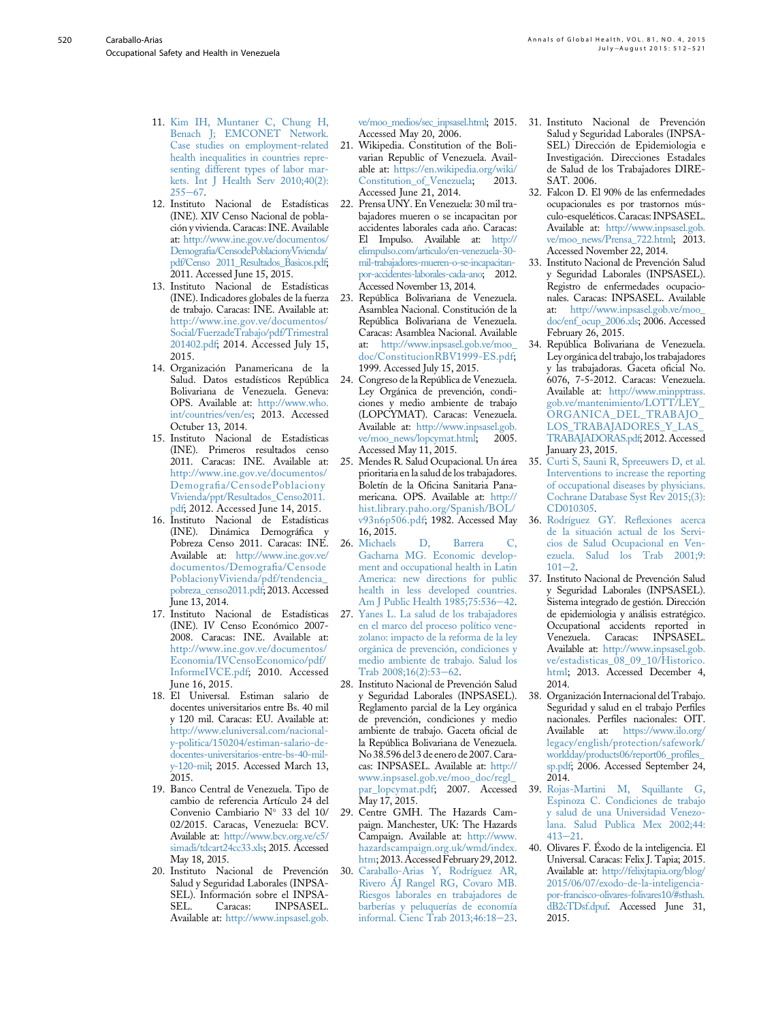- <span id="page-8-0"></span>11. [Kim IH, Muntaner C, Chung H,](http://refhub.elsevier.com/S2214-9996(15)01238-2/sref11) Benach I: EMCONET Network. [Case studies on employment-related](http://refhub.elsevier.com/S2214-9996(15)01238-2/sref11) [health inequalities in countries repre](http://refhub.elsevier.com/S2214-9996(15)01238-2/sref11)[senting different types of labor mar](http://refhub.elsevier.com/S2214-9996(15)01238-2/sref11)kets. Int J Health Serv  $2010;40(2)$ :  $255 - 67$  $255 - 67$  $255 - 67$ .
- 12. Instituto Nacional de Estadísticas (INE). XIV Censo Nacional de población y vivienda. Caracas: INE. Available at: [http://www.ine.gov.ve/documentos/](http://www.ine.gov.ve/documentos/Demografia/CensodePoblacionyVivienda/pdf/Censo%202011_Resultados_Basicos.pdf) Demografi[a/CensodePoblacionyVivienda/](http://www.ine.gov.ve/documentos/Demografia/CensodePoblacionyVivienda/pdf/Censo%202011_Resultados_Basicos.pdf) [pdf/Censo 2011\\_Resultados\\_Basicos.pdf](http://www.ine.gov.ve/documentos/Demografia/CensodePoblacionyVivienda/pdf/Censo%202011_Resultados_Basicos.pdf); 2011. Accessed June 15, 2015.
- 13. Instituto Nacional de Estadísticas (INE). Indicadores globales de la fuerza de trabajo. Caracas: INE. Available at: [http://www.ine.gov.ve/documentos/](http://www.ine.gov.ve/documentos/Social/FuerzadeTrabajo/pdf/Trimestral201402.pdf) [Social/FuerzadeTrabajo/pdf/Trimestral](http://www.ine.gov.ve/documentos/Social/FuerzadeTrabajo/pdf/Trimestral201402.pdf) [201402.pdf](http://www.ine.gov.ve/documentos/Social/FuerzadeTrabajo/pdf/Trimestral201402.pdf); 2014. Accessed July 15, 2015.
- 14. Organización Panamericana de la Salud. Datos estadísticos República Bolivariana de Venezuela. Geneva: OPS. Available at: [http://www.who.](http://www.who.int/countries/ven/es) [int/countries/ven/es](http://www.who.int/countries/ven/es); 2013. Accessed Octuber 13, 2014.
- 15. Instituto Nacional de Estadísticas (INE). Primeros resultados censo 2011. Caracas: INE. Available at: [http://www.ine.gov.ve/documentos/](http://www.ine.gov.ve/documentos/Demografia/CensodePoblacionyVivienda/ppt/Resultados_Censo2011.pdf) Demografi[a/CensodePoblaciony](http://www.ine.gov.ve/documentos/Demografia/CensodePoblacionyVivienda/ppt/Resultados_Censo2011.pdf) [Vivienda/ppt/Resultados\\_Censo2011.](http://www.ine.gov.ve/documentos/Demografia/CensodePoblacionyVivienda/ppt/Resultados_Censo2011.pdf) [pdf;](http://www.ine.gov.ve/documentos/Demografia/CensodePoblacionyVivienda/ppt/Resultados_Censo2011.pdf) 2012. Accessed June 14, 2015.
- 16. Instituto Nacional de Estadísticas (INE). Dinámica Demográfica y Pobreza Censo 2011. Caracas: INE. Available at: [http://www.ine.gov.ve/](http://www.ine.gov.ve/documentos/Demografia/CensodePoblacionyVivienda/pdf/tendencia_pobreza_censo2011.pdf) [documentos/Demogra](http://www.ine.gov.ve/documentos/Demografia/CensodePoblacionyVivienda/pdf/tendencia_pobreza_censo2011.pdf)fia/Censode [PoblacionyVivienda/pdf/tendencia\\_](http://www.ine.gov.ve/documentos/Demografia/CensodePoblacionyVivienda/pdf/tendencia_pobreza_censo2011.pdf) [pobreza\\_censo2011.pdf;](http://www.ine.gov.ve/documentos/Demografia/CensodePoblacionyVivienda/pdf/tendencia_pobreza_censo2011.pdf) 2013. Accessed June 13, 2014.
- 17. Instituto Nacional de Estadísticas (INE). IV Censo Económico 2007- 2008. Caracas: INE. Available at: [http://www.ine.gov.ve/documentos/](http://www.ine.gov.ve/documentos/Economia/IVCensoEconomico/pdf/InformeIVCE.pdf) [Economia/IVCensoEconomico/pdf/](http://www.ine.gov.ve/documentos/Economia/IVCensoEconomico/pdf/InformeIVCE.pdf) [InformeIVCE.pdf](http://www.ine.gov.ve/documentos/Economia/IVCensoEconomico/pdf/InformeIVCE.pdf); 2010. Accessed June 16, 2015.
- 18. El Universal. Estiman salario de docentes universitarios entre Bs. 40 mil y 120 mil. Caracas: EU. Available at: [http://www.eluniversal.com/nacional](http://www.eluniversal.com/nacional-y-politica/150204/estiman-salario-de-docentes-universitarios-entre-bs-40-mil-y-120-mil)[y-politica/150204/estiman-salario-de](http://www.eluniversal.com/nacional-y-politica/150204/estiman-salario-de-docentes-universitarios-entre-bs-40-mil-y-120-mil)[docentes-universitarios-entre-bs-40-mil](http://www.eluniversal.com/nacional-y-politica/150204/estiman-salario-de-docentes-universitarios-entre-bs-40-mil-y-120-mil)[y-120-mil;](http://www.eluniversal.com/nacional-y-politica/150204/estiman-salario-de-docentes-universitarios-entre-bs-40-mil-y-120-mil) 2015. Accessed March 13, 2015.
- 19. Banco Central de Venezuela. Tipo de cambio de referencia Artículo 24 del Convenio Cambiario Nº 33 del 10/ 02/2015. Caracas, Venezuela: BCV. Available at: [http://www.bcv.org.ve/c5/](http://www.bcv.org.ve/c5/simadi/tdcart24cc33.xls) [simadi/tdcart24cc33.xls](http://www.bcv.org.ve/c5/simadi/tdcart24cc33.xls); 2015. Accessed May 18, 2015.
- 20. Instituto Nacional de Prevención Salud y Seguridad Laborales (INPSA-SEL). Información sobre el INPSA-<br>SEL. Caracas: INPSASEL. INPSASEL. Available at: [http://www.inpsasel.gob.](http://www.inpsasel.gob.ve/moo_medios/sec_inpsasel.html)

Accessed May 20, 2006.

- 21. Wikipedia. Constitution of the Bolivarian Republic of Venezuela. Available at: [https://en.wikipedia.org/wiki/](https://en.wikipedia.org/wiki/Constitution_of_Venezuela) [Constitution\\_of\\_Venezuela](https://en.wikipedia.org/wiki/Constitution_of_Venezuela); Accessed June 21, 2014.
- 22. Prensa UNY. En Venezuela: 30 mil trabajadores mueren o se incapacitan por accidentes laborales cada año. Caracas: El Impulso. Available at: [http://](http://elimpulso.com/articulo/en-venezuela-30-mil-trabajadores-mueren-o-se-incapacitan-por-accidentes-laborales-cada-ano) [elimpulso.com/articulo/en-venezuela-30](http://elimpulso.com/articulo/en-venezuela-30-mil-trabajadores-mueren-o-se-incapacitan-por-accidentes-laborales-cada-ano) [mil-trabajadores-mueren-o-se-incapacitan](http://elimpulso.com/articulo/en-venezuela-30-mil-trabajadores-mueren-o-se-incapacitan-por-accidentes-laborales-cada-ano)[por-accidentes-laborales-cada-ano;](http://elimpulso.com/articulo/en-venezuela-30-mil-trabajadores-mueren-o-se-incapacitan-por-accidentes-laborales-cada-ano) 2012. Accessed November 13, 2014.
- 23. República Bolivariana de Venezuela. Asamblea Nacional. Constitución de la República Bolivariana de Venezuela. Caracas: Asamblea Nacional. Available at: [http://www.inpsasel.gob.ve/moo\\_](http://www.inpsasel.gob.ve/moo_doc/ConstitucionRBV1999-ES.pdf) [doc/ConstitucionRBV1999-ES.pdf;](http://www.inpsasel.gob.ve/moo_doc/ConstitucionRBV1999-ES.pdf) 1999. Accessed July 15, 2015.
- 24. Congreso de la República de Venezuela. Ley Orgánica de prevención, condiciones y medio ambiente de trabajo (LOPCYMAT). Caracas: Venezuela. Available at: [http://www.inpsasel.gob.](http://www.inpsasel.gob.ve/moo_news/lopcymat.html)<br>ve/moo\_news/loncymat.html: 2005. [ve/moo\\_news/lopcymat.html;](http://www.inpsasel.gob.ve/moo_news/lopcymat.html) Accessed May 11, 2015.
- 25. Mendes R. Salud Ocupacional. Un área prioritaria en la salud de los trabajadores. Boletín de la Oficina Sanitaria Panamericana. OPS. Available at: [http://](http://hist.library.paho.org/Spanish/BOL/v93n6p506.pdf) [hist.library.paho.org/Spanish/BOL/](http://hist.library.paho.org/Spanish/BOL/v93n6p506.pdf) [v93n6p506.pdf;](http://hist.library.paho.org/Spanish/BOL/v93n6p506.pdf) 1982. Accessed May 16, 2015.
- 26. [Michaels D, Barrera C,](http://refhub.elsevier.com/S2214-9996(15)01238-2/sref26) [Gacharna MG. Economic develop](http://refhub.elsevier.com/S2214-9996(15)01238-2/sref26)[ment and occupational health in Latin](http://refhub.elsevier.com/S2214-9996(15)01238-2/sref26) [America: new directions for public](http://refhub.elsevier.com/S2214-9996(15)01238-2/sref26) [health in less developed countries.](http://refhub.elsevier.com/S2214-9996(15)01238-2/sref26) [Am J Public Health 1985;75:536](http://refhub.elsevier.com/S2214-9996(15)01238-2/sref26)-[42.](http://refhub.elsevier.com/S2214-9996(15)01238-2/sref26)
- 27. [Yanes L. La salud de los trabajadores](http://refhub.elsevier.com/S2214-9996(15)01238-2/sref51) [en el marco del proceso político vene](http://refhub.elsevier.com/S2214-9996(15)01238-2/sref51)[zolano: impacto de la reforma de la ley](http://refhub.elsevier.com/S2214-9996(15)01238-2/sref51) [orgánica de prevención, condiciones y](http://refhub.elsevier.com/S2214-9996(15)01238-2/sref51) [medio ambiente de trabajo. Salud los](http://refhub.elsevier.com/S2214-9996(15)01238-2/sref51) Trab  $2008;16(2):53-62$ .
- 28. Instituto Nacional de Prevención Salud y Seguridad Laborales (INPSASEL). Reglamento parcial de la Ley orgánica de prevención, condiciones y medio ambiente de trabajo. Gaceta oficial de la República Bolivariana de Venezuela. No 38.596 del 3 de enero de 2007. Caracas: INPSASEL. Available at: [http://](http://www.inpsasel.gob.ve/moo_doc/regl_par_lopcymat.pdf) [www.inpsasel.gob.ve/moo\\_doc/regl\\_](http://www.inpsasel.gob.ve/moo_doc/regl_par_lopcymat.pdf) [par\\_lopcymat.pdf;](http://www.inpsasel.gob.ve/moo_doc/regl_par_lopcymat.pdf) 2007. Accessed May 17, 2015.
- 29. Centre GMH. The Hazards Campaign. Manchester, UK: The Hazards Campaign. Available at: [http://www.](http://www.hazardscampaign.org.uk/wmd/index.htm) [hazardscampaign.org.uk/wmd/index.](http://www.hazardscampaign.org.uk/wmd/index.htm) [htm](http://www.hazardscampaign.org.uk/wmd/index.htm); 2013. Accessed February 29, 2012.
- 30. [Caraballo-Arias Y, Rodríguez AR,](http://refhub.elsevier.com/S2214-9996(15)01238-2/sref30) [Rivero ÁJ Rangel RG, Covaro MB.](http://refhub.elsevier.com/S2214-9996(15)01238-2/sref30) [Riesgos laborales en trabajadores de](http://refhub.elsevier.com/S2214-9996(15)01238-2/sref30) [barberías y peluquerías de economía](http://refhub.elsevier.com/S2214-9996(15)01238-2/sref30)<br>[informal. Cienc Trab 2013;46:18](http://refhub.elsevier.com/S2214-9996(15)01238-2/sref30)–[23.](http://refhub.elsevier.com/S2214-9996(15)01238-2/sref30)
- [ve/moo\\_medios/sec\\_inpsasel.html;](http://www.inpsasel.gob.ve/moo_medios/sec_inpsasel.html) 2015. 31. Instituto Nacional de Prevención Salud y Seguridad Laborales (INPSA-SEL) Dirección de Epidemiologia e Investigación. Direcciones Estadales de Salud de los Trabajadores DIRE-SAT. 2006.
	- 32. Falcon D. El 90% de las enfermedades ocupacionales es por trastornos músculo-esqueléticos. Caracas: INPSASEL. Available at: [http://www.inpsasel.gob.](http://www.inpsasel.gob.ve/moo_news/Prensa_722.html) [ve/moo\\_news/Prensa\\_722.html](http://www.inpsasel.gob.ve/moo_news/Prensa_722.html); 2013. Accessed November 22, 2014.
	- 33. Instituto Nacional de Prevención Salud y Seguridad Laborales (INPSASEL). Registro de enfermedades ocupacionales. Caracas: INPSASEL. Available at: [http://www.inpsasel.gob.ve/moo\\_](http://www.inpsasel.gob.ve/moo_doc/enf_ocup_2006.xls) [doc/enf\\_ocup\\_2006.xls](http://www.inpsasel.gob.ve/moo_doc/enf_ocup_2006.xls); 2006. Accessed February 26, 2015.
	- 34. República Bolivariana de Venezuela. Ley orgánica del trabajo, los trabajadores y las trabajadoras. Gaceta oficial No. 6076, 7-5-2012. Caracas: Venezuela. Available at: [http://www.minpptrass.](http://www.minpptrass.gob.ve/mantenimiento/LOTT/LEY_ORGANICA_DEL_TRABAJO_LOS_TRABAJADORES_Y_LAS_TRABAJADORAS.pdf) [gob.ve/mantenimiento/LOTT/LEY\\_](http://www.minpptrass.gob.ve/mantenimiento/LOTT/LEY_ORGANICA_DEL_TRABAJO_LOS_TRABAJADORES_Y_LAS_TRABAJADORAS.pdf) ORGANICA DEL TRABAJO LOS TRABAJADORES Y LAS [TRABAJADORAS.pdf;](http://www.minpptrass.gob.ve/mantenimiento/LOTT/LEY_ORGANICA_DEL_TRABAJO_LOS_TRABAJADORES_Y_LAS_TRABAJADORAS.pdf) 2012. Accessed January 23, 2015.
	- 35. [Curti S, Sauni R, Spreeuwers D, et al.](http://refhub.elsevier.com/S2214-9996(15)01238-2/sref35) [Interventions to increase the reporting](http://refhub.elsevier.com/S2214-9996(15)01238-2/sref35) [of occupational diseases by physicians.](http://refhub.elsevier.com/S2214-9996(15)01238-2/sref35) [Cochrane Database Syst Rev 2015;\(3\):](http://refhub.elsevier.com/S2214-9996(15)01238-2/sref35) [CD010305.](http://refhub.elsevier.com/S2214-9996(15)01238-2/sref35)
	- 36. [Rodríguez GY. Re](http://refhub.elsevier.com/S2214-9996(15)01238-2/sref36)flexiones acerca [de la situación actual de los Servi](http://refhub.elsevier.com/S2214-9996(15)01238-2/sref36)[cios de Salud Ocupacional en Ven](http://refhub.elsevier.com/S2214-9996(15)01238-2/sref36)[ezuela. Salud los Trab 2001;9:](http://refhub.elsevier.com/S2214-9996(15)01238-2/sref36)  $101 - 2$  $101 - 2$  $101 - 2$ .
	- 37. Instituto Nacional de Prevención Salud y Seguridad Laborales (INPSASEL). Sistema integrado de gestión. Dirección de epidemiologia y análisis estratégico. Occupational accidents reported in Venezuela. Caracas: INPSASEL. Available at: [http://www.inpsasel.gob.](http://www.inpsasel.gob.ve/estadisticas_08_09_10/Historico.html) [ve/estadisticas\\_08\\_09\\_10/Historico.](http://www.inpsasel.gob.ve/estadisticas_08_09_10/Historico.html) [html](http://www.inpsasel.gob.ve/estadisticas_08_09_10/Historico.html); 2013. Accessed December 4, 2014.
	- 38. Organización Internacional del Trabajo. Seguridad y salud en el trabajo Perfiles nacionales. Perfiles nacionales: OIT. Available at: [https://www.ilo.org/](https://www.ilo.org/legacy/english/protection/safework/worldday/products06/report06_profiles_sp.pdf) [legacy/english/protection/safework/](https://www.ilo.org/legacy/english/protection/safework/worldday/products06/report06_profiles_sp.pdf) [worldday/products06/report06\\_pro](https://www.ilo.org/legacy/english/protection/safework/worldday/products06/report06_profiles_sp.pdf)files\_ [sp.pdf;](https://www.ilo.org/legacy/english/protection/safework/worldday/products06/report06_profiles_sp.pdf) 2006. Accessed September 24,  $2014.$
	- 39. [Rojas-Martini M, Squillante G,](http://refhub.elsevier.com/S2214-9996(15)01238-2/sref39) [Espinoza C. Condiciones de trabajo](http://refhub.elsevier.com/S2214-9996(15)01238-2/sref39) [y salud de una Universidad Venezo](http://refhub.elsevier.com/S2214-9996(15)01238-2/sref39)[lana. Salud Publica Mex 2002;44:](http://refhub.elsevier.com/S2214-9996(15)01238-2/sref39)  $413 - 21$  $413 - 21$  $413 - 21$ .
	- 40. Olivares F. Éxodo de la inteligencia. El Universal. Caracas: Felix J. Tapia; 2015. Available at: [http://felixjtapia.org/blog/](http://felixjtapia.org/blog/2015/06/07/exodo-de-la-inteligencia-por-francisco-olivares-folivares10/#sthash.dB2cTDsf.dpuf) [2015/06/07/exodo-de-la-inteligencia](http://felixjtapia.org/blog/2015/06/07/exodo-de-la-inteligencia-por-francisco-olivares-folivares10/#sthash.dB2cTDsf.dpuf)[por-francisco-olivares-folivares10/#sthash.](http://felixjtapia.org/blog/2015/06/07/exodo-de-la-inteligencia-por-francisco-olivares-folivares10/#sthash.dB2cTDsf.dpuf) [dB2cTDsf.dpuf.](http://felixjtapia.org/blog/2015/06/07/exodo-de-la-inteligencia-por-francisco-olivares-folivares10/#sthash.dB2cTDsf.dpuf) Accessed June 31, 2015.